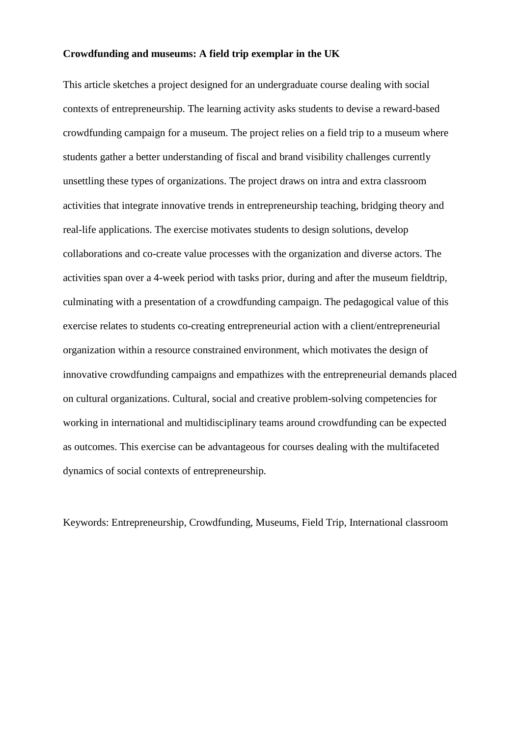### **Crowdfunding and museums: A field trip exemplar in the UK**

This article sketches a project designed for an undergraduate course dealing with social contexts of entrepreneurship. The learning activity asks students to devise a reward-based crowdfunding campaign for a museum. The project relies on a field trip to a museum where students gather a better understanding of fiscal and brand visibility challenges currently unsettling these types of organizations. The project draws on intra and extra classroom activities that integrate innovative trends in entrepreneurship teaching, bridging theory and real-life applications. The exercise motivates students to design solutions, develop collaborations and co-create value processes with the organization and diverse actors. The activities span over a 4-week period with tasks prior, during and after the museum fieldtrip, culminating with a presentation of a crowdfunding campaign. The pedagogical value of this exercise relates to students co-creating entrepreneurial action with a client/entrepreneurial organization within a resource constrained environment, which motivates the design of innovative crowdfunding campaigns and empathizes with the entrepreneurial demands placed on cultural organizations. Cultural, social and creative problem-solving competencies for working in international and multidisciplinary teams around crowdfunding can be expected as outcomes. This exercise can be advantageous for courses dealing with the multifaceted dynamics of social contexts of entrepreneurship.

Keywords: Entrepreneurship, Crowdfunding, Museums, Field Trip, International classroom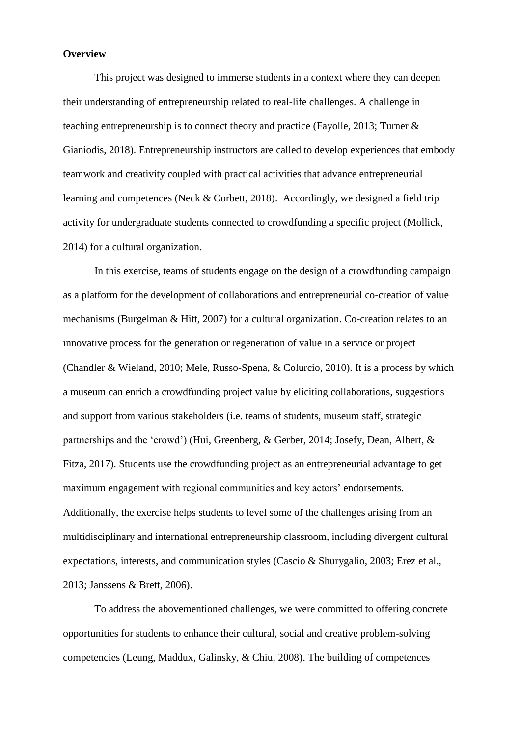#### **Overview**

This project was designed to immerse students in a context where they can deepen their understanding of entrepreneurship related to real-life challenges. A challenge in teaching entrepreneurship is to connect theory and practice (Fayolle, 2013; Turner & Gianiodis, 2018). Entrepreneurship instructors are called to develop experiences that embody teamwork and creativity coupled with practical activities that advance entrepreneurial learning and competences (Neck & Corbett, 2018). Accordingly, we designed a field trip activity for undergraduate students connected to crowdfunding a specific project (Mollick, 2014) for a cultural organization.

In this exercise, teams of students engage on the design of a crowdfunding campaign as a platform for the development of collaborations and entrepreneurial co-creation of value mechanisms (Burgelman & Hitt, 2007) for a cultural organization. Co-creation relates to an innovative process for the generation or regeneration of value in a service or project (Chandler & Wieland, 2010; Mele, Russo-Spena, & Colurcio, 2010). It is a process by which a museum can enrich a crowdfunding project value by eliciting collaborations, suggestions and support from various stakeholders (i.e. teams of students, museum staff, strategic partnerships and the 'crowd') (Hui, Greenberg, & Gerber, 2014; Josefy, Dean, Albert, & Fitza, 2017). Students use the crowdfunding project as an entrepreneurial advantage to get maximum engagement with regional communities and key actors' endorsements. Additionally, the exercise helps students to level some of the challenges arising from an multidisciplinary and international entrepreneurship classroom, including divergent cultural expectations, interests, and communication styles (Cascio & Shurygalio, 2003; Erez et al., 2013; Janssens & Brett, 2006).

To address the abovementioned challenges, we were committed to offering concrete opportunities for students to enhance their cultural, social and creative problem-solving competencies (Leung, Maddux, Galinsky, & Chiu, 2008). The building of competences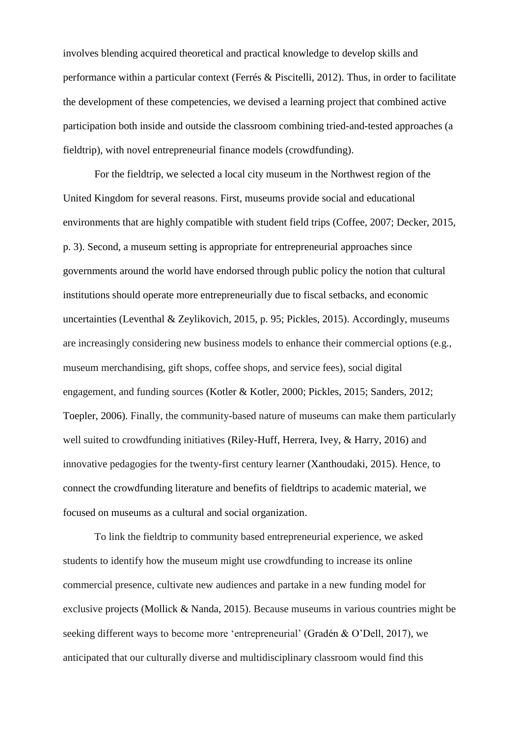involves blending acquired theoretical and practical knowledge to develop skills and performance within a particular context (Ferrés & Piscitelli, 2012). Thus, in order to facilitate the development of these competencies, we devised a learning project that combined active participation both inside and outside the classroom combining tried-and-tested approaches (a fieldtrip), with novel entrepreneurial finance models (crowdfunding).

For the fieldtrip, we selected a local city museum in the Northwest region of the United Kingdom for several reasons. First, museums provide social and educational environments that are highly compatible with student field trips (Coffee, 2007; Decker, 2015, p. 3). Second, a museum setting is appropriate for entrepreneurial approaches since governments around the world have endorsed through public policy the notion that cultural institutions should operate more entrepreneurially due to fiscal setbacks, and economic uncertainties (Leventhal & Zeylikovich, 2015, p. 95; Pickles, 2015). Accordingly, museums are increasingly considering new business models to enhance their commercial options (e.g., museum merchandising, gift shops, coffee shops, and service fees), social digital engagement, and funding sources (Kotler & Kotler, 2000; Pickles, 2015; Sanders, 2012; Toepler, 2006). Finally, the community-based nature of museums can make them particularly well suited to crowdfunding initiatives (Riley-Huff, Herrera, Ivey, & Harry, 2016) and innovative pedagogies for the twenty-first century learner (Xanthoudaki, 2015). Hence, to connect the crowdfunding literature and benefits of fieldtrips to academic material, we focused on museums as a cultural and social organization.

To link the fieldtrip to community based entrepreneurial experience, we asked students to identify how the museum might use crowdfunding to increase its online commercial presence, cultivate new audiences and partake in a new funding model for exclusive projects (Mollick & Nanda, 2015). Because museums in various countries might be seeking different ways to become more 'entrepreneurial' (Gradén & O'Dell, 2017), we anticipated that our culturally diverse and multidisciplinary classroom would find this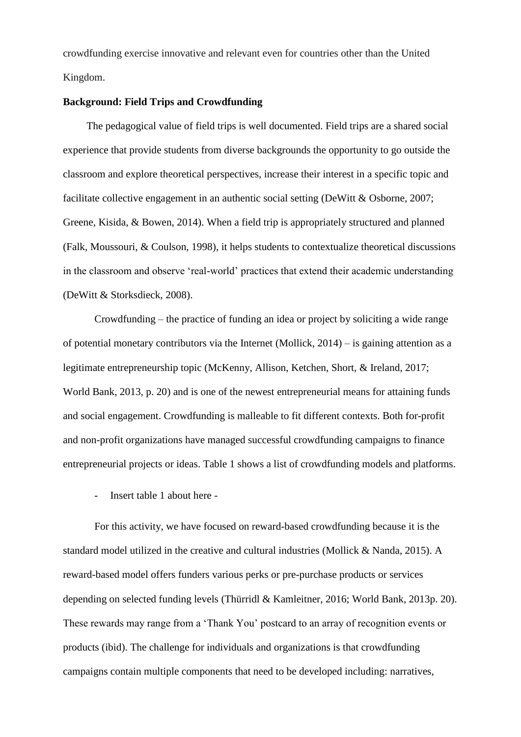crowdfunding exercise innovative and relevant even for countries other than the United Kingdom.

## **Background: Field Trips and Crowdfunding**

The pedagogical value of field trips is well documented. Field trips are a shared social experience that provide students from diverse backgrounds the opportunity to go outside the classroom and explore theoretical perspectives, increase their interest in a specific topic and facilitate collective engagement in an authentic social setting (DeWitt & Osborne, 2007; Greene, Kisida, & Bowen, 2014). When a field trip is appropriately structured and planned (Falk, Moussouri, & Coulson, 1998), it helps students to contextualize theoretical discussions in the classroom and observe 'real-world' practices that extend their academic understanding (DeWitt & Storksdieck, 2008).

Crowdfunding – the practice of funding an idea or project by soliciting a wide range of potential monetary contributors via the Internet (Mollick, 2014) – is gaining attention as a legitimate entrepreneurship topic (McKenny, Allison, Ketchen, Short, & Ireland, 2017; World Bank, 2013, p. 20) and is one of the newest entrepreneurial means for attaining funds and social engagement. Crowdfunding is malleable to fit different contexts. Both for-profit and non-profit organizations have managed successful crowdfunding campaigns to finance entrepreneurial projects or ideas. Table 1 shows a list of crowdfunding models and platforms.

- Insert table 1 about here -

For this activity, we have focused on reward-based crowdfunding because it is the standard model utilized in the creative and cultural industries (Mollick & Nanda, 2015). A reward-based model offers funders various perks or pre-purchase products or services depending on selected funding levels (Thürridl & Kamleitner, 2016; World Bank, 2013p. 20). These rewards may range from a 'Thank You' postcard to an array of recognition events or products (ibid). The challenge for individuals and organizations is that crowdfunding campaigns contain multiple components that need to be developed including: narratives,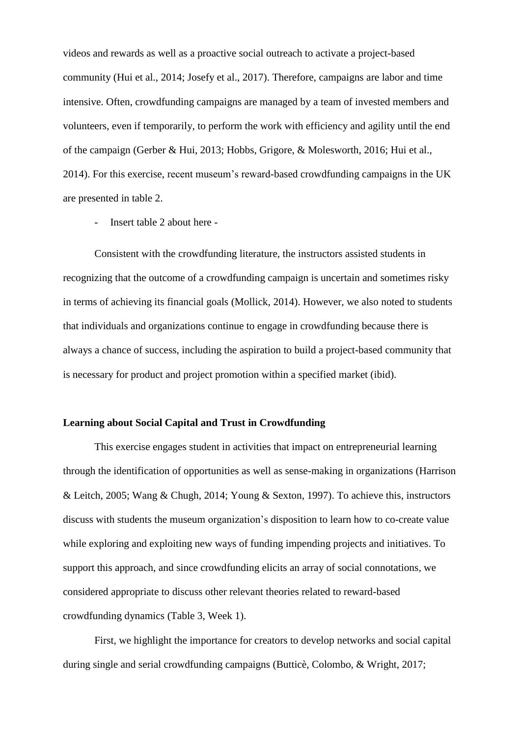videos and rewards as well as a proactive social outreach to activate a project-based community (Hui et al., 2014; Josefy et al., 2017). Therefore, campaigns are labor and time intensive. Often, crowdfunding campaigns are managed by a team of invested members and volunteers, even if temporarily, to perform the work with efficiency and agility until the end of the campaign (Gerber & Hui, 2013; Hobbs, Grigore, & Molesworth, 2016; Hui et al., 2014). For this exercise, recent museum's reward-based crowdfunding campaigns in the UK are presented in table 2.

- Insert table 2 about here -

Consistent with the crowdfunding literature, the instructors assisted students in recognizing that the outcome of a crowdfunding campaign is uncertain and sometimes risky in terms of achieving its financial goals (Mollick, 2014). However, we also noted to students that individuals and organizations continue to engage in crowdfunding because there is always a chance of success, including the aspiration to build a project-based community that is necessary for product and project promotion within a specified market (ibid).

# **Learning about Social Capital and Trust in Crowdfunding**

This exercise engages student in activities that impact on entrepreneurial learning through the identification of opportunities as well as sense-making in organizations (Harrison & Leitch, 2005; Wang & Chugh, 2014; Young & Sexton, 1997). To achieve this, instructors discuss with students the museum organization's disposition to learn how to co-create value while exploring and exploiting new ways of funding impending projects and initiatives. To support this approach, and since crowdfunding elicits an array of social connotations, we considered appropriate to discuss other relevant theories related to reward-based crowdfunding dynamics (Table 3, Week 1).

First, we highlight the importance for creators to develop networks and social capital during single and serial crowdfunding campaigns (Butticè, Colombo, & Wright, 2017;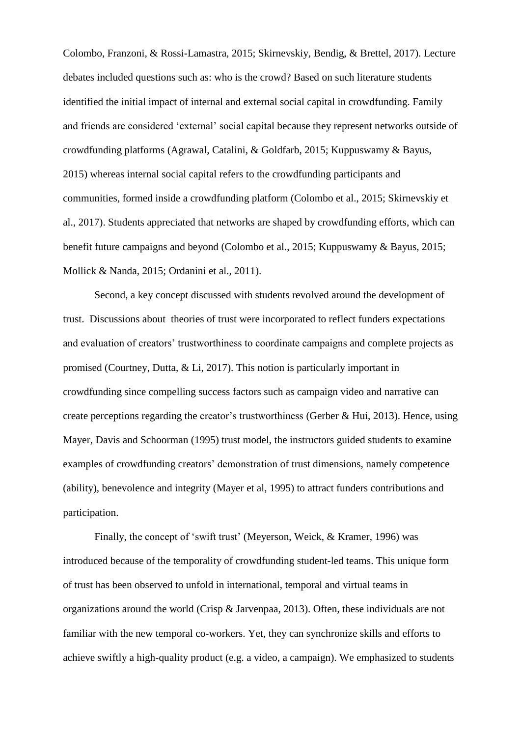Colombo, Franzoni, & Rossi-Lamastra, 2015; Skirnevskiy, Bendig, & Brettel, 2017). Lecture debates included questions such as: who is the crowd? Based on such literature students identified the initial impact of internal and external social capital in crowdfunding. Family and friends are considered 'external' social capital because they represent networks outside of crowdfunding platforms (Agrawal, Catalini, & Goldfarb, 2015; Kuppuswamy & Bayus, 2015) whereas internal social capital refers to the crowdfunding participants and communities, formed inside a crowdfunding platform (Colombo et al., 2015; Skirnevskiy et al., 2017). Students appreciated that networks are shaped by crowdfunding efforts, which can benefit future campaigns and beyond (Colombo et al., 2015; Kuppuswamy & Bayus, 2015; Mollick & Nanda, 2015; Ordanini et al., 2011).

Second, a key concept discussed with students revolved around the development of trust. Discussions about theories of trust were incorporated to reflect funders expectations and evaluation of creators' trustworthiness to coordinate campaigns and complete projects as promised (Courtney, Dutta, & Li, 2017). This notion is particularly important in crowdfunding since compelling success factors such as campaign video and narrative can create perceptions regarding the creator's trustworthiness (Gerber & Hui, 2013). Hence, using Mayer, Davis and Schoorman (1995) trust model, the instructors guided students to examine examples of crowdfunding creators' demonstration of trust dimensions, namely competence (ability), benevolence and integrity (Mayer et al, 1995) to attract funders contributions and participation.

Finally, the concept of 'swift trust' (Meyerson, Weick, & Kramer, 1996) was introduced because of the temporality of crowdfunding student-led teams. This unique form of trust has been observed to unfold in international, temporal and virtual teams in organizations around the world (Crisp & Jarvenpaa, 2013). Often, these individuals are not familiar with the new temporal co-workers. Yet, they can synchronize skills and efforts to achieve swiftly a high-quality product (e.g. a video, a campaign). We emphasized to students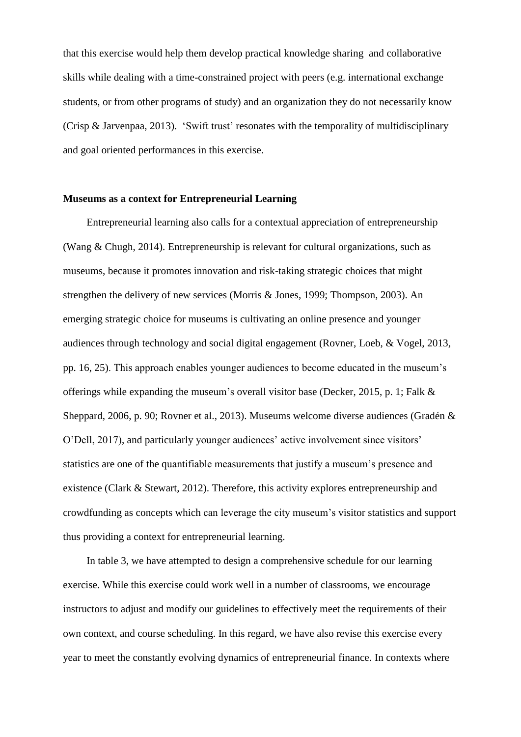that this exercise would help them develop practical knowledge sharing and collaborative skills while dealing with a time-constrained project with peers (e.g. international exchange students, or from other programs of study) and an organization they do not necessarily know (Crisp & Jarvenpaa, 2013). 'Swift trust' resonates with the temporality of multidisciplinary and goal oriented performances in this exercise.

### **Museums as a context for Entrepreneurial Learning**

Entrepreneurial learning also calls for a contextual appreciation of entrepreneurship (Wang & Chugh, 2014). Entrepreneurship is relevant for cultural organizations, such as museums, because it promotes innovation and risk-taking strategic choices that might strengthen the delivery of new services (Morris & Jones, 1999; Thompson, 2003). An emerging strategic choice for museums is cultivating an online presence and younger audiences through technology and social digital engagement (Rovner, Loeb, & Vogel, 2013, pp. 16, 25). This approach enables younger audiences to become educated in the museum's offerings while expanding the museum's overall visitor base (Decker, 2015, p. 1; Falk & Sheppard, 2006, p. 90; Rovner et al., 2013). Museums welcome diverse audiences (Gradén & O'Dell, 2017), and particularly younger audiences' active involvement since visitors' statistics are one of the quantifiable measurements that justify a museum's presence and existence (Clark & Stewart, 2012). Therefore, this activity explores entrepreneurship and crowdfunding as concepts which can leverage the city museum's visitor statistics and support thus providing a context for entrepreneurial learning.

In table 3, we have attempted to design a comprehensive schedule for our learning exercise. While this exercise could work well in a number of classrooms, we encourage instructors to adjust and modify our guidelines to effectively meet the requirements of their own context, and course scheduling. In this regard, we have also revise this exercise every year to meet the constantly evolving dynamics of entrepreneurial finance. In contexts where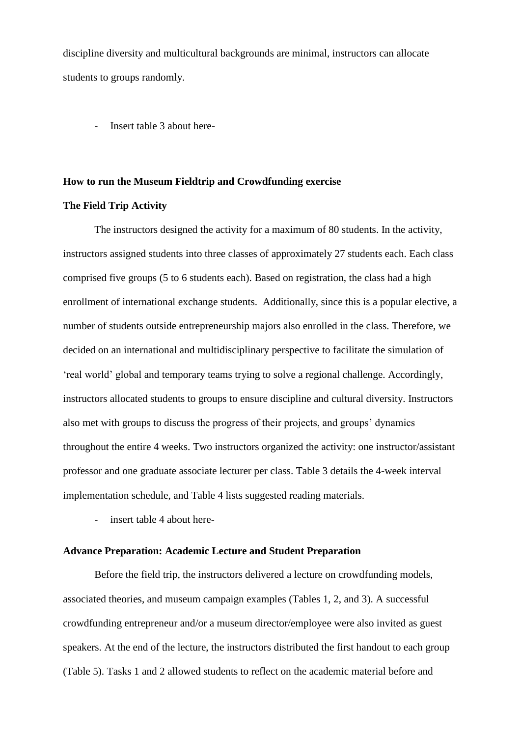discipline diversity and multicultural backgrounds are minimal, instructors can allocate students to groups randomly.

- Insert table 3 about here-

#### **How to run the Museum Fieldtrip and Crowdfunding exercise**

## **The Field Trip Activity**

The instructors designed the activity for a maximum of 80 students. In the activity, instructors assigned students into three classes of approximately 27 students each. Each class comprised five groups (5 to 6 students each). Based on registration, the class had a high enrollment of international exchange students. Additionally, since this is a popular elective, a number of students outside entrepreneurship majors also enrolled in the class. Therefore, we decided on an international and multidisciplinary perspective to facilitate the simulation of 'real world' global and temporary teams trying to solve a regional challenge. Accordingly, instructors allocated students to groups to ensure discipline and cultural diversity. Instructors also met with groups to discuss the progress of their projects, and groups' dynamics throughout the entire 4 weeks. Two instructors organized the activity: one instructor/assistant professor and one graduate associate lecturer per class. Table 3 details the 4-week interval implementation schedule, and Table 4 lists suggested reading materials.

insert table 4 about here-

## **Advance Preparation: Academic Lecture and Student Preparation**

Before the field trip, the instructors delivered a lecture on crowdfunding models, associated theories, and museum campaign examples (Tables 1, 2, and 3). A successful crowdfunding entrepreneur and/or a museum director/employee were also invited as guest speakers. At the end of the lecture, the instructors distributed the first handout to each group (Table 5). Tasks 1 and 2 allowed students to reflect on the academic material before and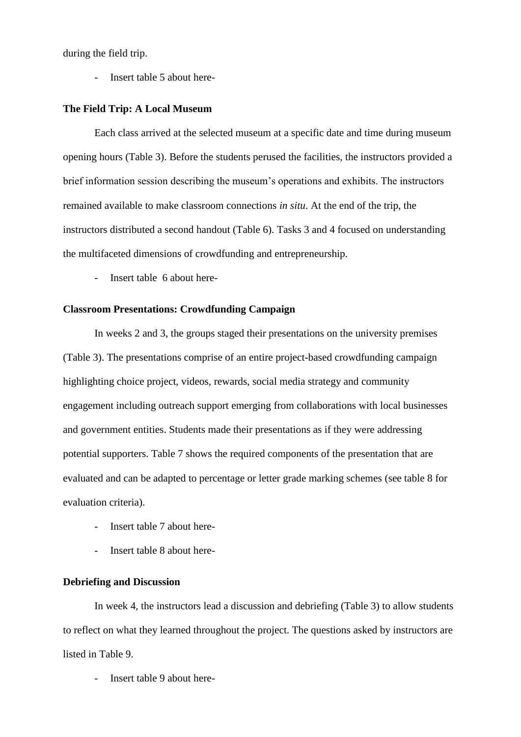during the field trip.

Insert table 5 about here-

#### **The Field Trip: A Local Museum**

Each class arrived at the selected museum at a specific date and time during museum opening hours (Table 3). Before the students perused the facilities, the instructors provided a brief information session describing the museum's operations and exhibits. The instructors remained available to make classroom connections *in situ*. At the end of the trip, the instructors distributed a second handout (Table 6). Tasks 3 and 4 focused on understanding the multifaceted dimensions of crowdfunding and entrepreneurship.

Insert table 6 about here-

### **Classroom Presentations: Crowdfunding Campaign**

In weeks 2 and 3, the groups staged their presentations on the university premises (Table 3). The presentations comprise of an entire project-based crowdfunding campaign highlighting choice project, videos, rewards, social media strategy and community engagement including outreach support emerging from collaborations with local businesses and government entities. Students made their presentations as if they were addressing potential supporters. Table 7 shows the required components of the presentation that are evaluated and can be adapted to percentage or letter grade marking schemes (see table 8 for evaluation criteria).

- Insert table 7 about here-
- Insert table 8 about here-

## **Debriefing and Discussion**

In week 4, the instructors lead a discussion and debriefing (Table 3) to allow students to reflect on what they learned throughout the project. The questions asked by instructors are listed in Table 9.

- Insert table 9 about here-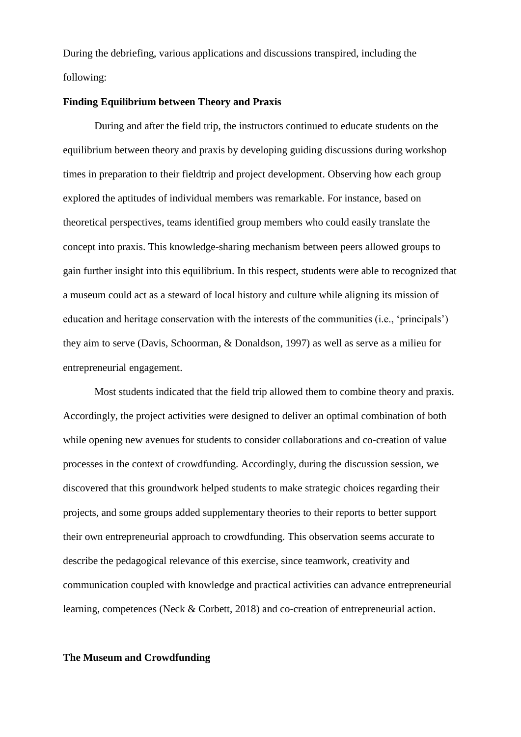During the debriefing, various applications and discussions transpired, including the following:

## **Finding Equilibrium between Theory and Praxis**

During and after the field trip, the instructors continued to educate students on the equilibrium between theory and praxis by developing guiding discussions during workshop times in preparation to their fieldtrip and project development. Observing how each group explored the aptitudes of individual members was remarkable. For instance, based on theoretical perspectives, teams identified group members who could easily translate the concept into praxis. This knowledge-sharing mechanism between peers allowed groups to gain further insight into this equilibrium. In this respect, students were able to recognized that a museum could act as a steward of local history and culture while aligning its mission of education and heritage conservation with the interests of the communities (i.e., 'principals') they aim to serve (Davis, Schoorman, & Donaldson, 1997) as well as serve as a milieu for entrepreneurial engagement.

Most students indicated that the field trip allowed them to combine theory and praxis. Accordingly, the project activities were designed to deliver an optimal combination of both while opening new avenues for students to consider collaborations and co-creation of value processes in the context of crowdfunding. Accordingly, during the discussion session, we discovered that this groundwork helped students to make strategic choices regarding their projects, and some groups added supplementary theories to their reports to better support their own entrepreneurial approach to crowdfunding. This observation seems accurate to describe the pedagogical relevance of this exercise, since teamwork, creativity and communication coupled with knowledge and practical activities can advance entrepreneurial learning, competences (Neck & Corbett, 2018) and co-creation of entrepreneurial action.

## **The Museum and Crowdfunding**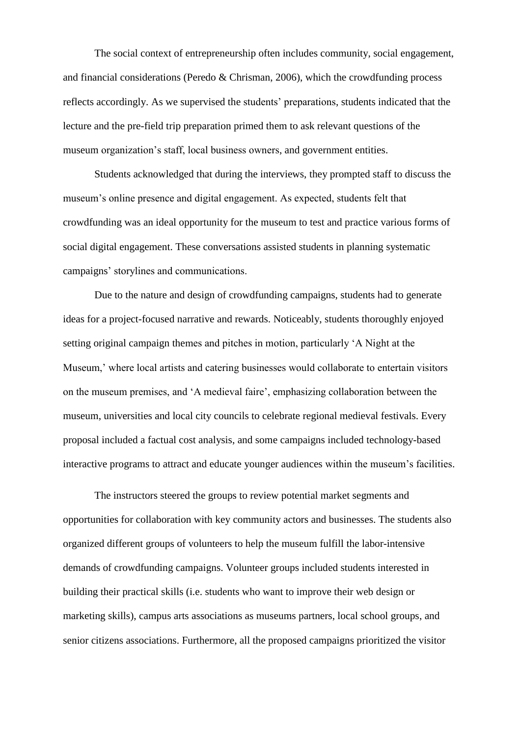The social context of entrepreneurship often includes community, social engagement, and financial considerations (Peredo & Chrisman, 2006), which the crowdfunding process reflects accordingly. As we supervised the students' preparations, students indicated that the lecture and the pre-field trip preparation primed them to ask relevant questions of the museum organization's staff, local business owners, and government entities.

Students acknowledged that during the interviews, they prompted staff to discuss the museum's online presence and digital engagement. As expected, students felt that crowdfunding was an ideal opportunity for the museum to test and practice various forms of social digital engagement. These conversations assisted students in planning systematic campaigns' storylines and communications.

Due to the nature and design of crowdfunding campaigns, students had to generate ideas for a project-focused narrative and rewards. Noticeably, students thoroughly enjoyed setting original campaign themes and pitches in motion, particularly 'A Night at the Museum,' where local artists and catering businesses would collaborate to entertain visitors on the museum premises, and 'A medieval faire', emphasizing collaboration between the museum, universities and local city councils to celebrate regional medieval festivals. Every proposal included a factual cost analysis, and some campaigns included technology-based interactive programs to attract and educate younger audiences within the museum's facilities.

The instructors steered the groups to review potential market segments and opportunities for collaboration with key community actors and businesses. The students also organized different groups of volunteers to help the museum fulfill the labor-intensive demands of crowdfunding campaigns. Volunteer groups included students interested in building their practical skills (i.e. students who want to improve their web design or marketing skills), campus arts associations as museums partners, local school groups, and senior citizens associations. Furthermore, all the proposed campaigns prioritized the visitor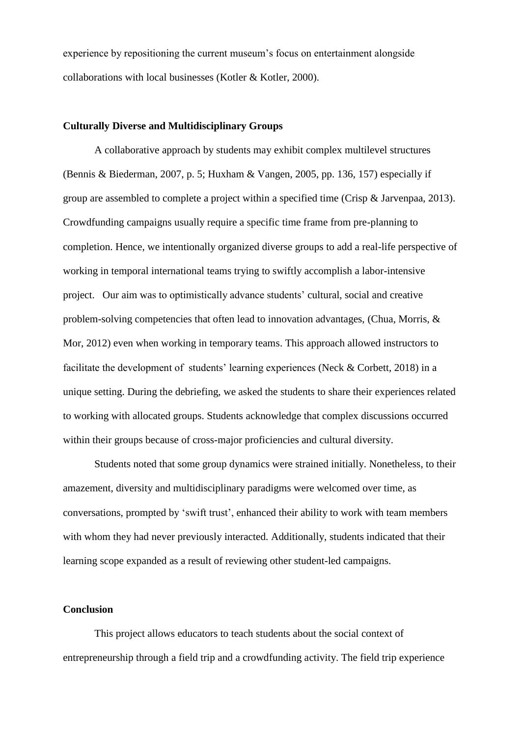experience by repositioning the current museum's focus on entertainment alongside collaborations with local businesses (Kotler & Kotler, 2000).

### **Culturally Diverse and Multidisciplinary Groups**

A collaborative approach by students may exhibit complex multilevel structures (Bennis & Biederman, 2007, p. 5; Huxham & Vangen, 2005, pp. 136, 157) especially if group are assembled to complete a project within a specified time (Crisp & Jarvenpaa, 2013). Crowdfunding campaigns usually require a specific time frame from pre-planning to completion. Hence, we intentionally organized diverse groups to add a real-life perspective of working in temporal international teams trying to swiftly accomplish a labor-intensive project. Our aim was to optimistically advance students' cultural, social and creative problem-solving competencies that often lead to innovation advantages, (Chua, Morris, & Mor, 2012) even when working in temporary teams. This approach allowed instructors to facilitate the development of students' learning experiences (Neck & Corbett, 2018) in a unique setting. During the debriefing, we asked the students to share their experiences related to working with allocated groups. Students acknowledge that complex discussions occurred within their groups because of cross-major proficiencies and cultural diversity.

Students noted that some group dynamics were strained initially. Nonetheless, to their amazement, diversity and multidisciplinary paradigms were welcomed over time, as conversations, prompted by 'swift trust', enhanced their ability to work with team members with whom they had never previously interacted. Additionally, students indicated that their learning scope expanded as a result of reviewing other student-led campaigns.

## **Conclusion**

This project allows educators to teach students about the social context of entrepreneurship through a field trip and a crowdfunding activity. The field trip experience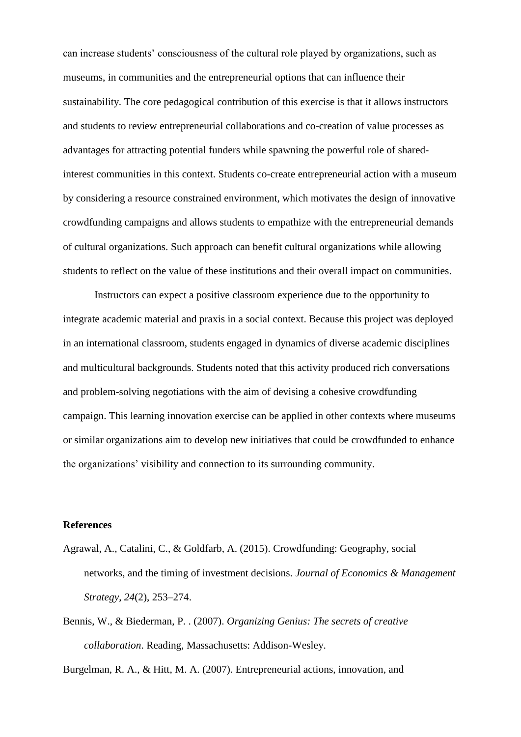can increase students' consciousness of the cultural role played by organizations, such as museums, in communities and the entrepreneurial options that can influence their sustainability. The core pedagogical contribution of this exercise is that it allows instructors and students to review entrepreneurial collaborations and co-creation of value processes as advantages for attracting potential funders while spawning the powerful role of sharedinterest communities in this context. Students co-create entrepreneurial action with a museum by considering a resource constrained environment, which motivates the design of innovative crowdfunding campaigns and allows students to empathize with the entrepreneurial demands of cultural organizations. Such approach can benefit cultural organizations while allowing students to reflect on the value of these institutions and their overall impact on communities.

Instructors can expect a positive classroom experience due to the opportunity to integrate academic material and praxis in a social context. Because this project was deployed in an international classroom, students engaged in dynamics of diverse academic disciplines and multicultural backgrounds. Students noted that this activity produced rich conversations and problem-solving negotiations with the aim of devising a cohesive crowdfunding campaign. This learning innovation exercise can be applied in other contexts where museums or similar organizations aim to develop new initiatives that could be crowdfunded to enhance the organizations' visibility and connection to its surrounding community.

# **References**

- Agrawal, A., Catalini, C., & Goldfarb, A. (2015). Crowdfunding: Geography, social networks, and the timing of investment decisions. *Journal of Economics & Management Strategy*, *24*(2), 253–274.
- Bennis, W., & Biederman, P. . (2007). *Organizing Genius: The secrets of creative collaboration*. Reading, Massachusetts: Addison-Wesley.

Burgelman, R. A., & Hitt, M. A. (2007). Entrepreneurial actions, innovation, and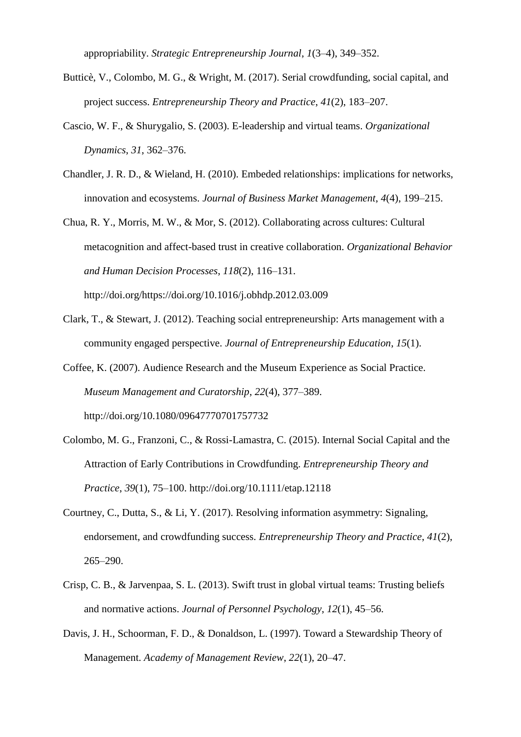appropriability. *Strategic Entrepreneurship Journal*, *1*(3–4), 349–352.

- Butticè, V., Colombo, M. G., & Wright, M. (2017). Serial crowdfunding, social capital, and project success. *Entrepreneurship Theory and Practice*, *41*(2), 183–207.
- Cascio, W. F., & Shurygalio, S. (2003). E-leadership and virtual teams. *Organizational Dynamics*, *31*, 362–376.
- Chandler, J. R. D., & Wieland, H. (2010). Embeded relationships: implications for networks, innovation and ecosystems. *Journal of Business Market Management*, *4*(4), 199–215.
- Chua, R. Y., Morris, M. W., & Mor, S. (2012). Collaborating across cultures: Cultural metacognition and affect-based trust in creative collaboration. *Organizational Behavior and Human Decision Processes*, *118*(2), 116–131. http://doi.org/https://doi.org/10.1016/j.obhdp.2012.03.009
- Clark, T., & Stewart, J. (2012). Teaching social entrepreneurship: Arts management with a community engaged perspective. *Journal of Entrepreneurship Education*, *15*(1).
- Coffee, K. (2007). Audience Research and the Museum Experience as Social Practice. *Museum Management and Curatorship*, *22*(4), 377–389. http://doi.org/10.1080/09647770701757732
- Colombo, M. G., Franzoni, C., & Rossi-Lamastra, C. (2015). Internal Social Capital and the Attraction of Early Contributions in Crowdfunding. *Entrepreneurship Theory and Practice*, *39*(1), 75–100. http://doi.org/10.1111/etap.12118
- Courtney, C., Dutta, S., & Li, Y. (2017). Resolving information asymmetry: Signaling, endorsement, and crowdfunding success. *Entrepreneurship Theory and Practice*, *41*(2), 265–290.
- Crisp, C. B., & Jarvenpaa, S. L. (2013). Swift trust in global virtual teams: Trusting beliefs and normative actions. *Journal of Personnel Psychology*, *12*(1), 45–56.
- Davis, J. H., Schoorman, F. D., & Donaldson, L. (1997). Toward a Stewardship Theory of Management. *Academy of Management Review*, *22*(1), 20–47.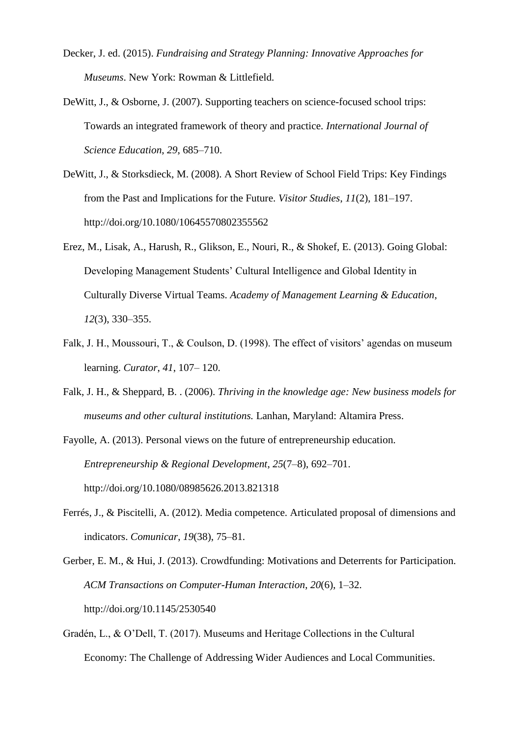- Decker, J. ed. (2015). *Fundraising and Strategy Planning: Innovative Approaches for Museums*. New York: Rowman & Littlefield.
- DeWitt, J., & Osborne, J. (2007). Supporting teachers on science-focused school trips: Towards an integrated framework of theory and practice. *International Journal of Science Education*, *29*, 685–710.
- DeWitt, J., & Storksdieck, M. (2008). A Short Review of School Field Trips: Key Findings from the Past and Implications for the Future. *Visitor Studies*, *11*(2), 181–197. http://doi.org/10.1080/10645570802355562
- Erez, M., Lisak, A., Harush, R., Glikson, E., Nouri, R., & Shokef, E. (2013). Going Global: Developing Management Students' Cultural Intelligence and Global Identity in Culturally Diverse Virtual Teams. *Academy of Management Learning & Education*, *12*(3), 330–355.
- Falk, J. H., Moussouri, T., & Coulson, D. (1998). The effect of visitors' agendas on museum learning. *Curator*, *41*, 107– 120.
- Falk, J. H., & Sheppard, B. . (2006). *Thriving in the knowledge age: New business models for museums and other cultural institutions.* Lanhan, Maryland: Altamira Press.
- Fayolle, A. (2013). Personal views on the future of entrepreneurship education. *Entrepreneurship & Regional Development*, *25*(7–8), 692–701. http://doi.org/10.1080/08985626.2013.821318
- Ferrés, J., & Piscitelli, A. (2012). Media competence. Articulated proposal of dimensions and indicators. *Comunicar*, *19*(38), 75–81.

Gerber, E. M., & Hui, J. (2013). Crowdfunding: Motivations and Deterrents for Participation. *ACM Transactions on Computer-Human Interaction*, *20*(6), 1–32. http://doi.org/10.1145/2530540

Gradén, L., & O'Dell, T. (2017). Museums and Heritage Collections in the Cultural Economy: The Challenge of Addressing Wider Audiences and Local Communities.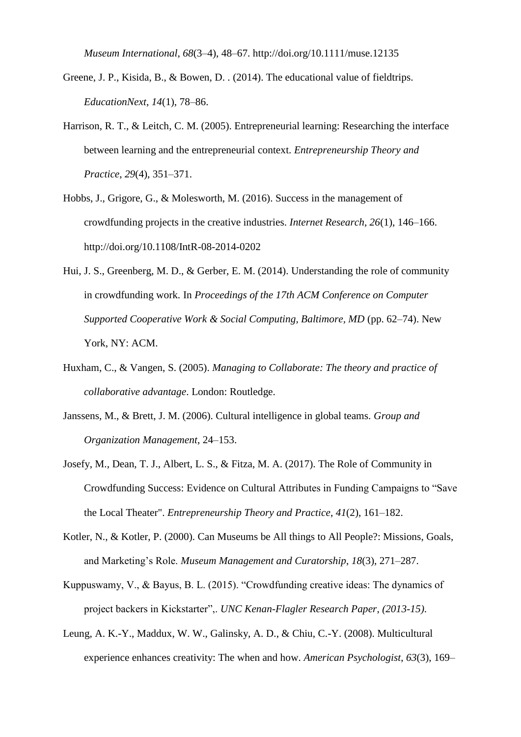*Museum International*, *68*(3–4), 48–67. http://doi.org/10.1111/muse.12135

- Greene, J. P., Kisida, B., & Bowen, D. . (2014). The educational value of fieldtrips. *EducationNext*, *14*(1), 78–86.
- Harrison, R. T., & Leitch, C. M. (2005). Entrepreneurial learning: Researching the interface between learning and the entrepreneurial context. *Entrepreneurship Theory and Practice*, *29*(4), 351–371.
- Hobbs, J., Grigore, G., & Molesworth, M. (2016). Success in the management of crowdfunding projects in the creative industries. *Internet Research*, *26*(1), 146–166. http://doi.org/10.1108/IntR-08-2014-0202
- Hui, J. S., Greenberg, M. D., & Gerber, E. M. (2014). Understanding the role of community in crowdfunding work. In *Proceedings of the 17th ACM Conference on Computer Supported Cooperative Work & Social Computing, Baltimore, MD* (pp. 62–74). New York, NY: ACM.
- Huxham, C., & Vangen, S. (2005). *Managing to Collaborate: The theory and practice of collaborative advantage*. London: Routledge.
- Janssens, M., & Brett, J. M. (2006). Cultural intelligence in global teams. *Group and Organization Management*, 24–153.
- Josefy, M., Dean, T. J., Albert, L. S., & Fitza, M. A. (2017). The Role of Community in Crowdfunding Success: Evidence on Cultural Attributes in Funding Campaigns to "Save the Local Theater". *Entrepreneurship Theory and Practice*, *41*(2), 161–182.
- Kotler, N., & Kotler, P. (2000). Can Museums be All things to All People?: Missions, Goals, and Marketing's Role. *Museum Management and Curatorship*, *18*(3), 271–287.
- Kuppuswamy, V., & Bayus, B. L. (2015). "Crowdfunding creative ideas: The dynamics of project backers in Kickstarter",. *UNC Kenan-Flagler Research Paper, (2013-15)*.
- Leung, A. K.-Y., Maddux, W. W., Galinsky, A. D., & Chiu, C.-Y. (2008). Multicultural experience enhances creativity: The when and how. *American Psychologist*, *63*(3), 169–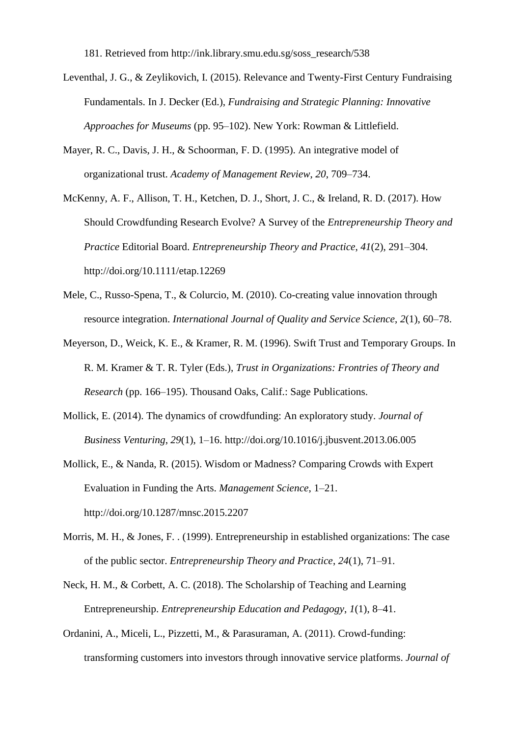181. Retrieved from http://ink.library.smu.edu.sg/soss\_research/538

- Leventhal, J. G., & Zeylikovich, I. (2015). Relevance and Twenty-First Century Fundraising Fundamentals. In J. Decker (Ed.), *Fundraising and Strategic Planning: Innovative Approaches for Museums* (pp. 95–102). New York: Rowman & Littlefield.
- Mayer, R. C., Davis, J. H., & Schoorman, F. D. (1995). An integrative model of organizational trust. *Academy of Management Review*, *20*, 709–734.
- McKenny, A. F., Allison, T. H., Ketchen, D. J., Short, J. C., & Ireland, R. D. (2017). How Should Crowdfunding Research Evolve? A Survey of the *Entrepreneurship Theory and Practice* Editorial Board. *Entrepreneurship Theory and Practice*, *41*(2), 291–304. http://doi.org/10.1111/etap.12269
- Mele, C., Russo-Spena, T., & Colurcio, M. (2010). Co-creating value innovation through resource integration. *International Journal of Quality and Service Science*, *2*(1), 60–78.
- Meyerson, D., Weick, K. E., & Kramer, R. M. (1996). Swift Trust and Temporary Groups. In R. M. Kramer & T. R. Tyler (Eds.), *Trust in Organizations: Frontries of Theory and Research* (pp. 166–195). Thousand Oaks, Calif.: Sage Publications.
- Mollick, E. (2014). The dynamics of crowdfunding: An exploratory study. *Journal of Business Venturing*, *29*(1), 1–16. http://doi.org/10.1016/j.jbusvent.2013.06.005
- Mollick, E., & Nanda, R. (2015). Wisdom or Madness? Comparing Crowds with Expert Evaluation in Funding the Arts. *Management Science*, 1–21. http://doi.org/10.1287/mnsc.2015.2207
- Morris, M. H., & Jones, F. . (1999). Entrepreneurship in established organizations: The case of the public sector. *Entrepreneurship Theory and Practice*, *24*(1), 71–91.
- Neck, H. M., & Corbett, A. C. (2018). The Scholarship of Teaching and Learning Entrepreneurship. *Entrepreneurship Education and Pedagogy*, *1*(1), 8–41.
- Ordanini, A., Miceli, L., Pizzetti, M., & Parasuraman, A. (2011). Crowd-funding: transforming customers into investors through innovative service platforms. *Journal of*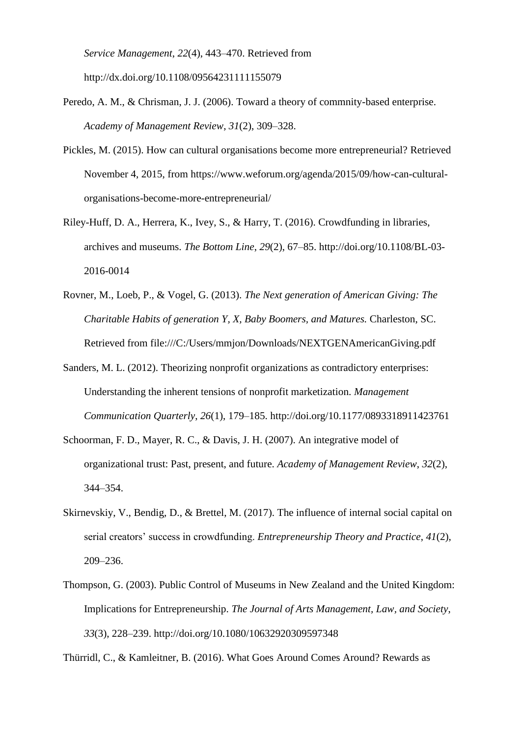*Service Management*, *22*(4), 443–470. Retrieved from http://dx.doi.org/10.1108/09564231111155079

- Peredo, A. M., & Chrisman, J. J. (2006). Toward a theory of commnity-based enterprise. *Academy of Management Review*, *31*(2), 309–328.
- Pickles, M. (2015). How can cultural organisations become more entrepreneurial? Retrieved November 4, 2015, from https://www.weforum.org/agenda/2015/09/how-can-culturalorganisations-become-more-entrepreneurial/
- Riley-Huff, D. A., Herrera, K., Ivey, S., & Harry, T. (2016). Crowdfunding in libraries, archives and museums. *The Bottom Line*, *29*(2), 67–85. http://doi.org/10.1108/BL-03- 2016-0014
- Rovner, M., Loeb, P., & Vogel, G. (2013). *The Next generation of American Giving: The Charitable Habits of generation Y, X, Baby Boomers, and Matures.* Charleston, SC. Retrieved from file:///C:/Users/mmjon/Downloads/NEXTGENAmericanGiving.pdf
- Sanders, M. L. (2012). Theorizing nonprofit organizations as contradictory enterprises: Understanding the inherent tensions of nonprofit marketization. *Management Communication Quarterly*, *26*(1), 179–185. http://doi.org/10.1177/0893318911423761
- Schoorman, F. D., Mayer, R. C., & Davis, J. H. (2007). An integrative model of organizational trust: Past, present, and future. *Academy of Management Review*, *32*(2), 344–354.
- Skirnevskiy, V., Bendig, D., & Brettel, M. (2017). The influence of internal social capital on serial creators' success in crowdfunding. *Entrepreneurship Theory and Practice*, *41*(2), 209–236.
- Thompson, G. (2003). Public Control of Museums in New Zealand and the United Kingdom: Implications for Entrepreneurship. *The Journal of Arts Management, Law, and Society*, *33*(3), 228–239. http://doi.org/10.1080/10632920309597348

Thürridl, C., & Kamleitner, B. (2016). What Goes Around Comes Around? Rewards as